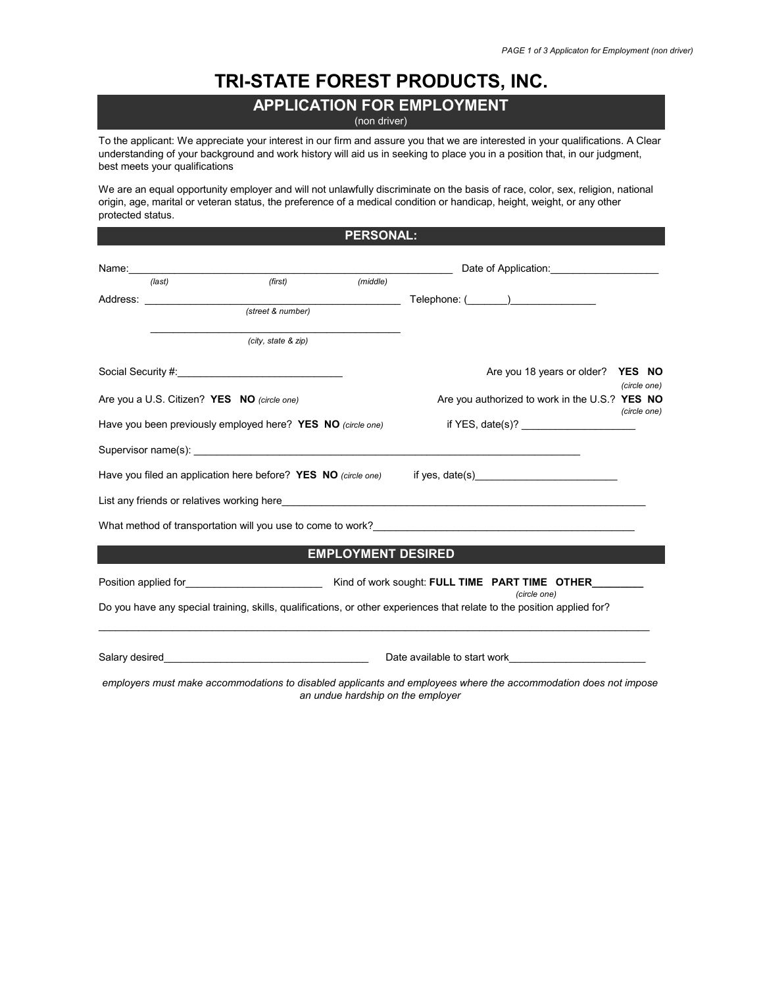## **TRI-STATE FOREST PRODUCTS, INC.**

## **APPLICATION FOR EMPLOYMENT** (non driver)

To the applicant: We appreciate your interest in our firm and assure you that we are interested in your qualifications. A Clear understanding of your background and work history will aid us in seeking to place you in a position that, in our judgment, best meets your qualifications

We are an equal opportunity employer and will not unlawfully discriminate on the basis of race, color, sex, religion, national origin, age, marital or veteran status, the preference of a medical condition or handicap, height, weight, or any other protected status.

|                                             |                                                             | <b>PERSONAL:</b>          |                                                                                                                                         |              |
|---------------------------------------------|-------------------------------------------------------------|---------------------------|-----------------------------------------------------------------------------------------------------------------------------------------|--------------|
|                                             |                                                             |                           |                                                                                                                                         |              |
| (last)                                      | (first)                                                     | (middle)                  |                                                                                                                                         |              |
|                                             |                                                             |                           |                                                                                                                                         |              |
|                                             | (street & number)                                           |                           |                                                                                                                                         |              |
|                                             | (city, state & zip)                                         |                           |                                                                                                                                         |              |
|                                             | Social Security #: Network of the Social Security #:        |                           | Are you 18 years or older? YES NO                                                                                                       | (circle one) |
| Are you a U.S. Citizen? YES NO (circle one) |                                                             |                           | Are you authorized to work in the U.S.? YES NO                                                                                          | (circle one) |
|                                             | Have you been previously employed here? YES NO (circle one) |                           |                                                                                                                                         |              |
|                                             |                                                             |                           |                                                                                                                                         |              |
|                                             |                                                             |                           | Have you filed an application here before? YES NO (circle one) if yes, date(s) _______________________________                          |              |
|                                             |                                                             |                           |                                                                                                                                         |              |
|                                             |                                                             |                           | What method of transportation will you use to come to work? Network and the state of the state of the state of                          |              |
|                                             |                                                             | <b>EMPLOYMENT DESIRED</b> |                                                                                                                                         |              |
|                                             |                                                             |                           |                                                                                                                                         |              |
|                                             |                                                             |                           | (circle one)<br>Do you have any special training, skills, qualifications, or other experiences that relate to the position applied for? |              |
|                                             |                                                             |                           |                                                                                                                                         |              |
|                                             |                                                             |                           | employers must make accommodations to disabled applicants and employees where the accommodation does not impose                         |              |

*an undue hardship on the employer*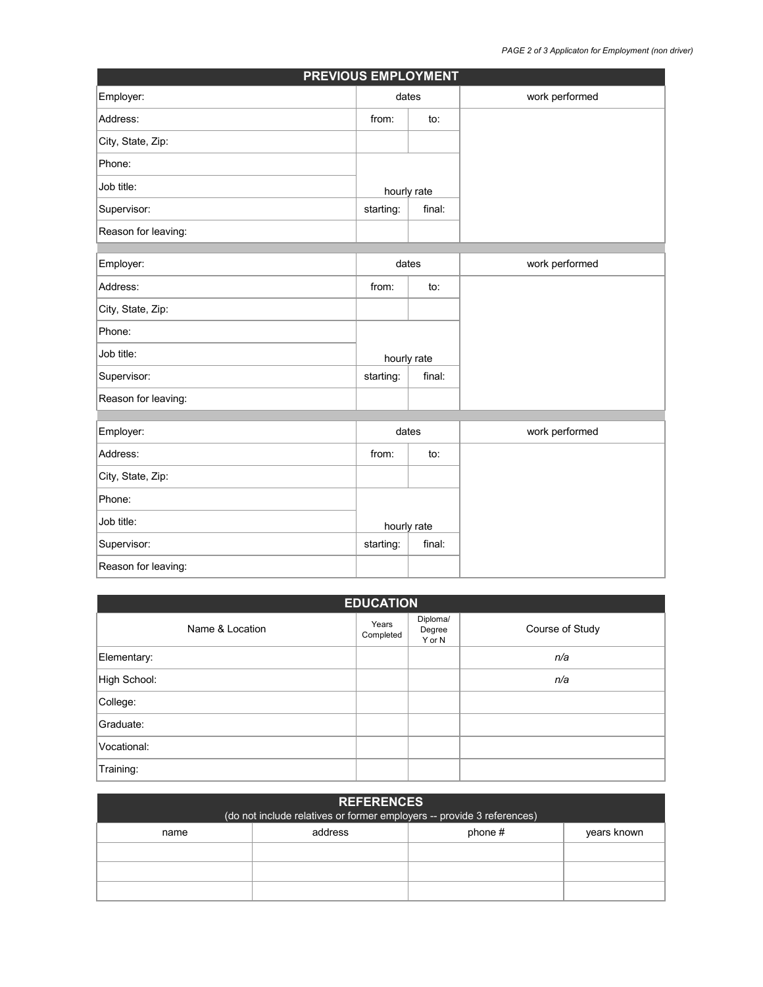| <b>PREVIOUS EMPLOYMENT</b> |             |                |                |  |  |
|----------------------------|-------------|----------------|----------------|--|--|
| Employer:                  | dates       |                | work performed |  |  |
| Address:                   | from:       | to:            |                |  |  |
| City, State, Zip:          |             |                |                |  |  |
| Phone:                     |             |                |                |  |  |
| Job title:                 | hourly rate |                |                |  |  |
| Supervisor:                | starting:   | final:         |                |  |  |
| Reason for leaving:        |             |                |                |  |  |
|                            |             |                |                |  |  |
| Employer:                  | dates       |                | work performed |  |  |
| Address:                   | from:       | to:            |                |  |  |
| City, State, Zip:          |             |                |                |  |  |
| Phone:                     |             |                |                |  |  |
| Job title:                 | hourly rate |                |                |  |  |
| Supervisor:                | starting:   | final:         |                |  |  |
| Reason for leaving:        |             |                |                |  |  |
|                            |             |                |                |  |  |
| Employer:<br>dates         |             | work performed |                |  |  |
| Address:                   | from:       | to:            |                |  |  |
| City, State, Zip:          |             |                |                |  |  |
| Phone:                     |             |                |                |  |  |
| Job title:                 | hourly rate |                |                |  |  |
| Supervisor:                | starting:   | final:         |                |  |  |
| Reason for leaving:        |             |                |                |  |  |

| <b>EDUCATION</b> |                    |                              |                 |  |  |
|------------------|--------------------|------------------------------|-----------------|--|--|
| Name & Location  | Years<br>Completed | Diploma/<br>Degree<br>Y or N | Course of Study |  |  |
| Elementary:      |                    |                              | n/a             |  |  |
| High School:     |                    |                              | n/a             |  |  |
| College:         |                    |                              |                 |  |  |
| Graduate:        |                    |                              |                 |  |  |
| Vocational:      |                    |                              |                 |  |  |
| Training:        |                    |                              |                 |  |  |

| <b>REFERENCES</b><br>(do not include relatives or former employers -- provide 3 references) |         |           |             |  |
|---------------------------------------------------------------------------------------------|---------|-----------|-------------|--|
| name                                                                                        | address | phone $#$ | years known |  |
|                                                                                             |         |           |             |  |
|                                                                                             |         |           |             |  |
|                                                                                             |         |           |             |  |